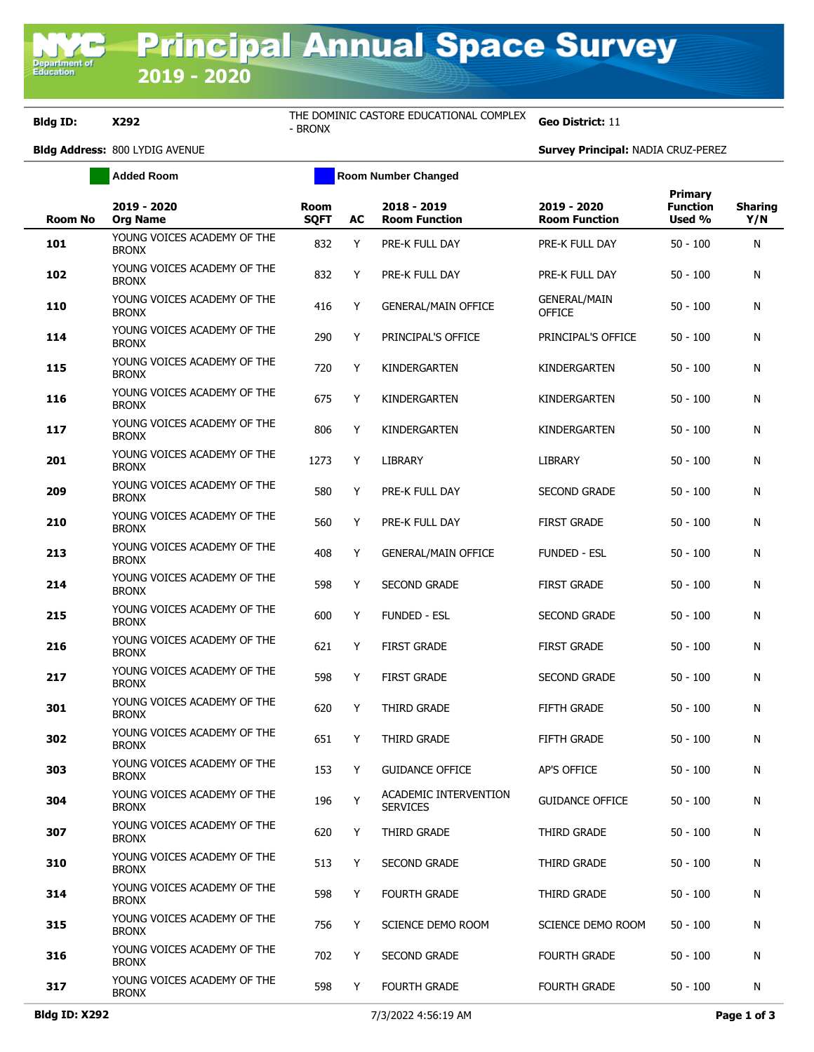## **Bldg ID: X292** THE DOMINIC CASTORE EDUCATIONAL COMPLEX

Geo District: 11

**Bldg Address:** 800 LYDIG AVENUE **Survey Principal:** NADIA CRUZ-PEREZ

**Added Room Room Number Changed Room No 2019 - 2020 Org Name Room SQFT AC 2018 - 2019 Room Function 2019 - 2020 Room Function Primary Function Used % Sharing Y/N 101** YOUNG VOICES ACADEMY OF THE POSING VOICES ACHOEM TO THE REAL PORE-K FULL DAY PRE-R FULL DAY THE REAL PORE-K FULL DAY TO SO - 100 N **102** YOUNG VOICES ACADEMY OF THE POSING VOICES ACHOEM TO THE REAL PORE-K FULL DAY PRE-R FULL DAY THE REAL PORE-K FULL DAY TO SO - 100 N **<sup>110</sup>** YOUNG VOICES ACADEMY OF THE BRONX <sup>416</sup> <sup>Y</sup> GENERAL/MAIN OFFICE GENERAL/MAIN OFFICE 50 - 100 N **114** YOUNG VOICES ACADEMY OF THE BRONX POONG VOICES ACABEM OF THE 290 Y PRINCIPAL'S OFFICE PRINCIPAL'S OFFICE 50 - 100 N<br>BRONX **115** YOUNG VOICES ACADEMY OF THE BRONX 196NG VOICES ACABEM 1 OF THE 720 Y KINDERGARTEN KINDERGARTEN 50 - 100 N<br>BRONX **116** YOUNG VOICES ACADEMY OF THE POONG VOICES ACABEM OF THE 675 Y KINDERGARTEN KINDERGARTEN 50 - 100 N<br>BRONX **117** YOUNG VOICES ACADEMY OF THE POONS VOICED ACTIVE THE REAL BOOK OF A KINDERGARTEN KINDERGARTEN 50 - 100 N<br>BRONX **201** YOUNG VOICES ACADEMY OF THE POONS VOICED ACTIVE THE THE 1273 Y LIBRARY THE LIBRARY THE 50 - 100 N **209** YOUNG VOICES ACADEMY OF THE BRONX POSING VOICES ACHOEM TO THE 580 Y PRE-K FULL DAY SECOND GRADE 50 - 100 N<br>BRONX **210** YOUNG VOICES ACADEMY OF THE POSING VOICES ACHOEM TO THE 560 Y PRE-K FULL DAY FIRST GRADE 50 - 100 N<br>BRONX **213** YOUNG VOICES ACADEMY OF THE 408 Y GENERAL/MAIN OFFICE FUNDED - ESL 50 - 100 N **214** YOUNG VOICES ACADEMY OF THE POONG VOICES ACABEM OF THE 598 Y SECOND GRADE FIRST GRADE 50 - 100 N<br>BRONX **215** YOUNG VOICES ACADEMY OF THE POONG VOICES ACADEM OF THE 600 Y FUNDED - ESL SECOND GRADE 50 - 100 N **216** YOUNG VOICES ACADEMY OF THE BRONX POONG VOICES ACADEM OF THE 621 Y FIRST GRADE FIRST GRADE 50 - 100 N **217** YOUNG VOICES ACADEMY OF THE POONG VOICES ACADEM OF THE 598 Y FIRST GRADE SECOND GRADE 50 - 100 N **301** YOUNG VOICES ACADEMY OF THE BRONX POONS VOICED MONDETH OF THE GAD ASSEMBLY CONTRIBUTED MANUSCRAPE FIFTH GRADE SO - 100 N<br>BRONX **302** YOUNG VOICES ACADEMY OF THE POONS VOICES ACREEM OF THE GEST FIFTH GRADE FIFTH GRADE FIFTH GRADE 50 - 100 N **303** YOUNG VOICES ACADEMY OF THE BRONX POSITO VOICED AP'S OFFICE THE THE THE SERIES ARE AP'S OFFICE THE SO - 100 N.<br>BRONX **<sup>304</sup>** YOUNG VOICES ACADEMY OF THE BRONX <sup>196</sup> <sup>Y</sup> ACADEMIC INTERVENTION SERVICES **SERVICES** GUIDANCE OFFICE 50 - 100 N **307** YOUNG VOICES ACADEMY OF THE NOONG VOICES ACABEM OF THE 620 Y THIRD GRADE THIRD GRADE 50 - 100 N<br>BRONX **310** YOUNG VOICES ACADEMY OF THE BRONX POOND VOICES ACADEM OF THE 513 Y SECOND GRADE THIRD GRADE 50 - 100 N **314** YOUNG VOICES ACADEMY OF THE BRONX POONG VOICES ACABEM OF THE 598 Y FOURTH GRADE THIRD GRADE 50 - 100 N<br>BRONX **315** YOUNG VOICES ACADEMY OF THE BRONX POSITO VOICED ACTIVE THE THE THE THE THE SCIENCE DEMO ROOM SCIENCE DEMO ROOM 50 - 100 N<br>BRONX **316** YOUNG VOICES ACADEMY OF THE BRONX POONS VOICED ACTIVE THE THE THE THE SECOND GRADE TO FOURTH GRADE 50 - 100 N<br>BRONX **317** YOUNG VOICES ACADEMY OF THE BRONX POONS VOICED MONDETH OF THE 598 Y FOURTH GRADE FOURTH GRADE 50 - 100 N<br>BRONX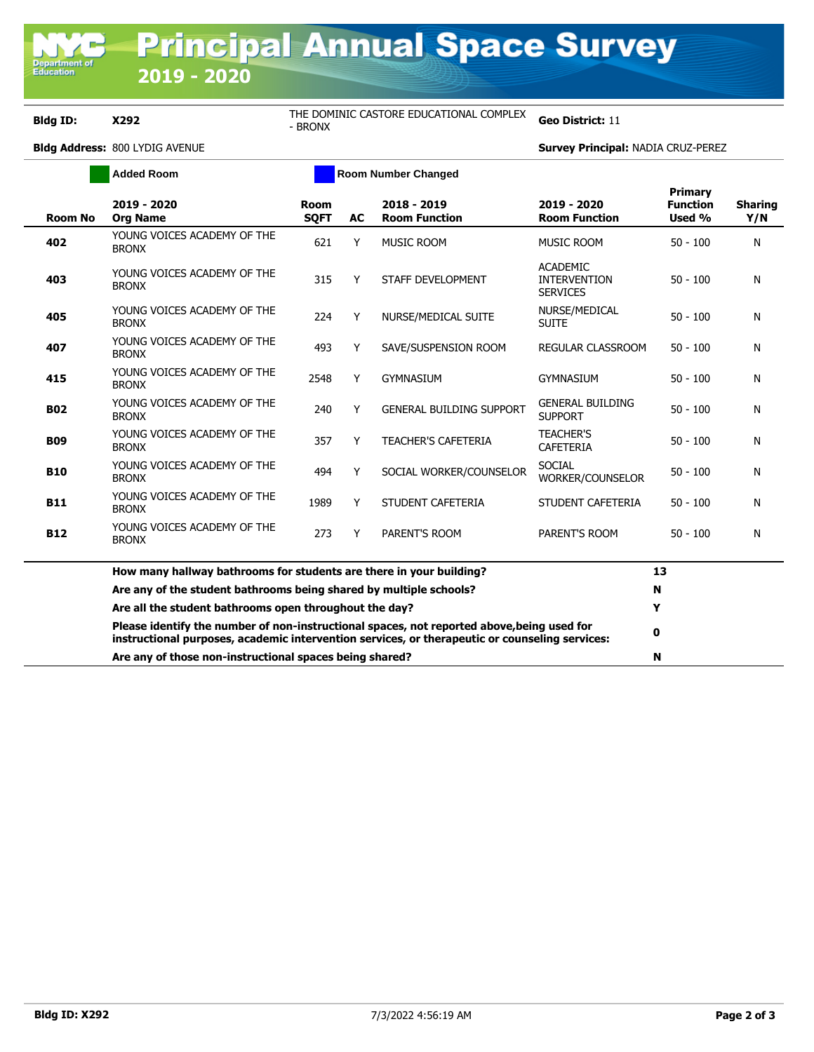**Bldg ID: X292** THE DOMINIC CASTORE EDUCATIONAL COMPLEX - BRONX **Geo District:**<sup>11</sup>

**Bldg Address:** 800 LYDIG AVENUE **Survey Principal:** NADIA CRUZ-PEREZ

|                | <b>Added Room</b>                                                                                                                                                                            | <b>Room Number Changed</b> |    |                                     |                                                           |                                             |                       |
|----------------|----------------------------------------------------------------------------------------------------------------------------------------------------------------------------------------------|----------------------------|----|-------------------------------------|-----------------------------------------------------------|---------------------------------------------|-----------------------|
| <b>Room No</b> | 2019 - 2020<br><b>Org Name</b>                                                                                                                                                               | <b>Room</b><br><b>SQFT</b> | AC | 2018 - 2019<br><b>Room Function</b> | 2019 - 2020<br><b>Room Function</b>                       | <b>Primary</b><br><b>Function</b><br>Used % | <b>Sharing</b><br>Y/N |
| 402            | YOUNG VOICES ACADEMY OF THE<br><b>BRONX</b>                                                                                                                                                  | 621                        | Y  | <b>MUSIC ROOM</b>                   | <b>MUSIC ROOM</b>                                         | $50 - 100$                                  | N                     |
| 403            | YOUNG VOICES ACADEMY OF THE<br><b>BRONX</b>                                                                                                                                                  | 315                        | Y  | STAFF DEVELOPMENT                   | <b>ACADEMIC</b><br><b>INTERVENTION</b><br><b>SERVICES</b> | $50 - 100$                                  | N                     |
| 405            | YOUNG VOICES ACADEMY OF THE<br><b>BRONX</b>                                                                                                                                                  | 224                        | Y  | NURSE/MEDICAL SUITE                 | NURSE/MEDICAL<br><b>SUITE</b>                             | $50 - 100$                                  | N                     |
| 407            | YOUNG VOICES ACADEMY OF THE<br><b>BRONX</b>                                                                                                                                                  | 493                        | Y  | SAVE/SUSPENSION ROOM                | <b>REGULAR CLASSROOM</b>                                  | $50 - 100$                                  | N                     |
| 415            | YOUNG VOICES ACADEMY OF THE<br><b>BRONX</b>                                                                                                                                                  | 2548                       | Y  | <b>GYMNASIUM</b>                    | <b>GYMNASIUM</b>                                          | $50 - 100$                                  | N                     |
| <b>B02</b>     | YOUNG VOICES ACADEMY OF THE<br><b>BRONX</b>                                                                                                                                                  | 240                        | Y  | <b>GENERAL BUILDING SUPPORT</b>     | <b>GENERAL BUILDING</b><br><b>SUPPORT</b>                 | $50 - 100$                                  | Ν                     |
| <b>B09</b>     | YOUNG VOICES ACADEMY OF THE<br><b>BRONX</b>                                                                                                                                                  | 357                        | Y  | <b>TEACHER'S CAFETERIA</b>          | <b>TEACHER'S</b><br><b>CAFETERIA</b>                      | $50 - 100$                                  | N                     |
| <b>B10</b>     | YOUNG VOICES ACADEMY OF THE<br><b>BRONX</b>                                                                                                                                                  | 494                        | Y  | SOCIAL WORKER/COUNSELOR             | <b>SOCIAL</b><br>WORKER/COUNSELOR                         | $50 - 100$                                  | Ν                     |
| <b>B11</b>     | YOUNG VOICES ACADEMY OF THE<br><b>BRONX</b>                                                                                                                                                  | 1989                       | Y  | STUDENT CAFETERIA                   | STUDENT CAFETERIA                                         | $50 - 100$                                  | N                     |
| <b>B12</b>     | YOUNG VOICES ACADEMY OF THE<br><b>BRONX</b>                                                                                                                                                  | 273                        | Y  | PARENT'S ROOM                       | PARENT'S ROOM                                             | $50 - 100$                                  | N                     |
|                | How many hallway bathrooms for students are there in your building?                                                                                                                          |                            |    |                                     |                                                           | 13                                          |                       |
|                | Are any of the student bathrooms being shared by multiple schools?                                                                                                                           |                            |    |                                     |                                                           | N                                           |                       |
|                | Are all the student bathrooms open throughout the day?                                                                                                                                       |                            |    |                                     |                                                           | Y                                           |                       |
|                | Please identify the number of non-instructional spaces, not reported above, being used for<br>instructional purposes, academic intervention services, or therapeutic or counseling services: |                            |    |                                     |                                                           |                                             |                       |
|                | Are any of those non-instructional spaces being shared?                                                                                                                                      |                            |    |                                     |                                                           | N                                           |                       |